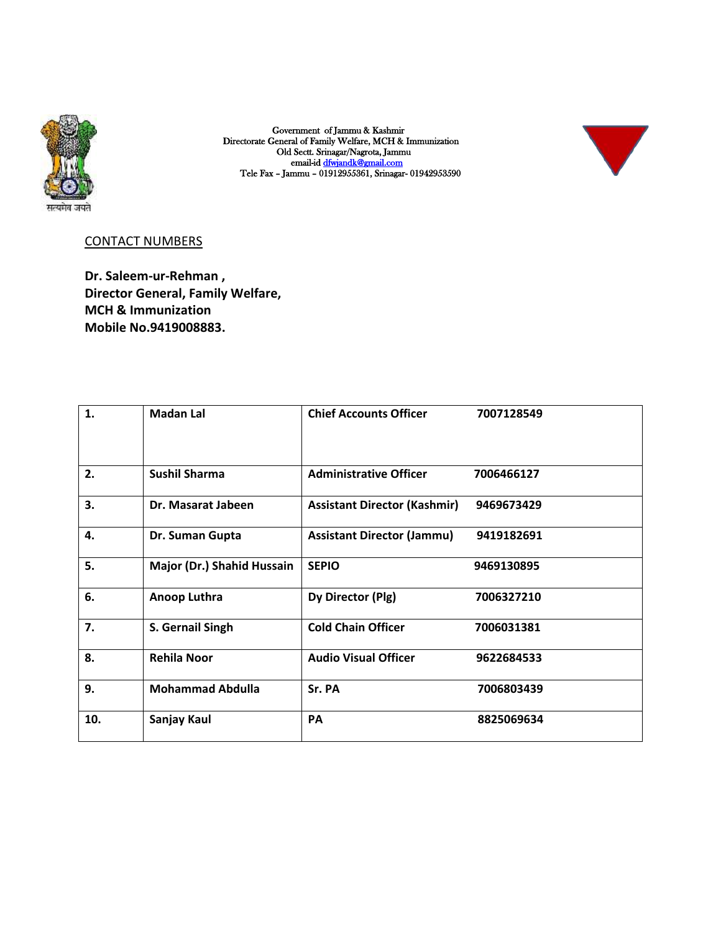

Government of Jammu & Kashmir Directorate General of Family Welfare, MCH & Immunization Old Sectt. Srinagar/Nagrota, Jammu email-id dfwjandk@gmail.com Tele Fax – Jammu – 01912955361, Srinagar- 01942953590



## CONTACT NUMBERS

**Dr. Saleem-ur-Rehman , Director General, Family Welfare, MCH & Immunization Mobile No.9419008883.**

| 1.  | <b>Madan Lal</b>           | <b>Chief Accounts Officer</b>       | 7007128549 |
|-----|----------------------------|-------------------------------------|------------|
| 2.  | <b>Sushil Sharma</b>       | <b>Administrative Officer</b>       | 7006466127 |
| 3.  | Dr. Masarat Jabeen         | <b>Assistant Director (Kashmir)</b> | 9469673429 |
| 4.  | Dr. Suman Gupta            | <b>Assistant Director (Jammu)</b>   | 9419182691 |
| 5.  | Major (Dr.) Shahid Hussain | <b>SEPIO</b>                        | 9469130895 |
| 6.  | Anoop Luthra               | Dy Director (Plg)                   | 7006327210 |
| 7.  | S. Gernail Singh           | <b>Cold Chain Officer</b>           | 7006031381 |
| 8.  | <b>Rehila Noor</b>         | <b>Audio Visual Officer</b>         | 9622684533 |
| 9.  | <b>Mohammad Abdulla</b>    | Sr. PA                              | 7006803439 |
| 10. | Sanjay Kaul                | PA                                  | 8825069634 |